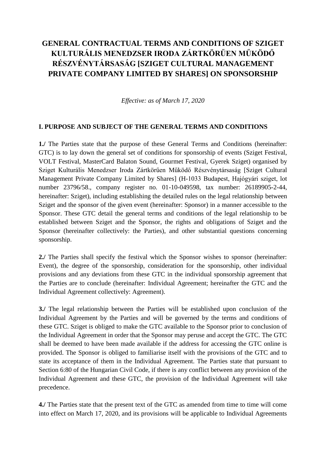# **GENERAL CONTRACTUAL TERMS AND CONDITIONS OF SZIGET KULTURÁLIS MENEDZSER IRODA ZÁRTKÖRŰEN MŰKÖDŐ RÉSZVÉNYTÁRSASÁG [SZIGET CULTURAL MANAGEMENT PRIVATE COMPANY LIMITED BY SHARES] ON SPONSORSHIP**

*Effective: as of March 17, 2020*

#### **I. PURPOSE AND SUBJECT OF THE GENERAL TERMS AND CONDITIONS**

**1./** The Parties state that the purpose of these General Terms and Conditions (hereinafter: GTC) is to lay down the general set of conditions for sponsorship of events (Sziget Festival, VOLT Festival, MasterCard Balaton Sound, Gourmet Festiva[l,](http://gourmetfesztival.hu,/) Gyerek Sziget) organised by Sziget Kulturális Menedzser Iroda Zártkörűen Működő Részvénytársaság [Sziget Cultural Management Private Company Limited by Shares] (H-1033 Budapest, Hajógyári sziget, lot number 23796/58., company register no. 01-10-049598, tax number: 26189905-2-44, hereinafter: Sziget), including establishing the detailed rules on the legal relationship between Sziget and the sponsor of the given event (hereinafter: Sponsor) in a manner accessible to the Sponsor. These GTC detail the general terms and conditions of the legal relationship to be established between Sziget and the Sponsor, the rights and obligations of Sziget and the Sponsor (hereinafter collectively: the Parties), and other substantial questions concerning sponsorship.

**2./** The Parties shall specify the festival which the Sponsor wishes to sponsor (hereinafter: Event), the degree of the sponsorship, consideration for the sponsorship, other individual provisions and any deviations from these GTC in the individual sponsorship agreement that the Parties are to conclude (hereinafter: Individual Agreement; hereinafter the GTC and the Individual Agreement collectively: Agreement).

**3./** The legal relationship between the Parties will be established upon conclusion of the Individual Agreement by the Parties and will be governed by the terms and conditions of these GTC. Sziget is obliged to make the GTC available to the Sponsor prior to conclusion of the Individual Agreement in order that the Sponsor may peruse and accept the GTC. The GTC shall be deemed to have been made available if the address for accessing the GTC online is provided. The Sponsor is obliged to familiarise itself with the provisions of the GTC and to state its acceptance of them in the Individual Agreement. The Parties state that pursuant to Section 6:80 of the Hungarian Civil Code, if there is any conflict between any provision of the Individual Agreement and these GTC, the provision of the Individual Agreement will take precedence.

**4./** The Parties state that the present text of the GTC as amended from time to time will come into effect on March 17, 2020, and its provisions will be applicable to Individual Agreements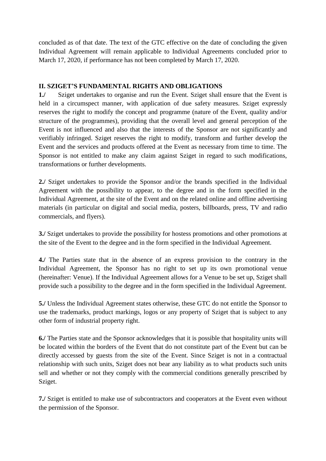concluded as of that date. The text of the GTC effective on the date of concluding the given Individual Agreement will remain applicable to Individual Agreements concluded prior to March 17, 2020, if performance has not been completed by March 17, 2020.

## **II. SZIGET'S FUNDAMENTAL RIGHTS AND OBLIGATIONS**

**1./** Sziget undertakes to organise and run the Event. Sziget shall ensure that the Event is held in a circumspect manner, with application of due safety measures. Sziget expressly reserves the right to modify the concept and programme (nature of the Event, quality and/or structure of the programmes), providing that the overall level and general perception of the Event is not influenced and also that the interests of the Sponsor are not significantly and verifiably infringed. Sziget reserves the right to modify, transform and further develop the Event and the services and products offered at the Event as necessary from time to time. The Sponsor is not entitled to make any claim against Sziget in regard to such modifications, transformations or further developments.

**2./** Sziget undertakes to provide the Sponsor and/or the brands specified in the Individual Agreement with the possibility to appear, to the degree and in the form specified in the Individual Agreement, at the site of the Event and on the related online and offline advertising materials (in particular on digital and social media, posters, billboards, press, TV and radio commercials, and flyers).

**3./** Sziget undertakes to provide the possibility for hostess promotions and other promotions at the site of the Event to the degree and in the form specified in the Individual Agreement.

**4./** The Parties state that in the absence of an express provision to the contrary in the Individual Agreement, the Sponsor has no right to set up its own promotional venue (hereinafter: Venue). If the Individual Agreement allows for a Venue to be set up, Sziget shall provide such a possibility to the degree and in the form specified in the Individual Agreement.

**5./** Unless the Individual Agreement states otherwise, these GTC do not entitle the Sponsor to use the trademarks, product markings, logos or any property of Sziget that is subject to any other form of industrial property right.

**6./** The Parties state and the Sponsor acknowledges that it is possible that hospitality units will be located within the borders of the Event that do not constitute part of the Event but can be directly accessed by guests from the site of the Event. Since Sziget is not in a contractual relationship with such units, Sziget does not bear any liability as to what products such units sell and whether or not they comply with the commercial conditions generally prescribed by Sziget.

**7./** Sziget is entitled to make use of subcontractors and cooperators at the Event even without the permission of the Sponsor.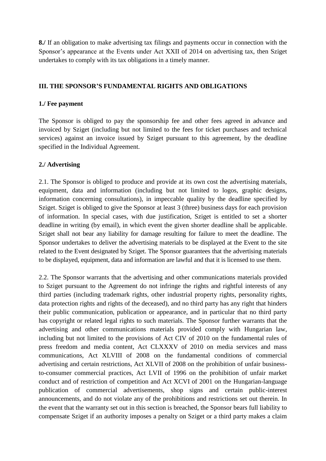**8./** If an obligation to make advertising tax filings and payments occur in connection with the Sponsor's appearance at the Events under Act XXII of 2014 on advertising tax, then Sziget undertakes to comply with its tax obligations in a timely manner.

#### **III. THE SPONSOR'S FUNDAMENTAL RIGHTS AND OBLIGATIONS**

#### **1./ Fee payment**

The Sponsor is obliged to pay the sponsorship fee and other fees agreed in advance and invoiced by Sziget (including but not limited to the fees for ticket purchases and technical services) against an invoice issued by Sziget pursuant to this agreement, by the deadline specified in the Individual Agreement.

# **2./ Advertising**

2.1. The Sponsor is obliged to produce and provide at its own cost the advertising materials, equipment, data and information (including but not limited to logos, graphic designs, information concerning consultations), in impeccable quality by the deadline specified by Sziget. Sziget is obliged to give the Sponsor at least 3 (three) business days for each provision of information. In special cases, with due justification, Sziget is entitled to set a shorter deadline in writing (by email), in which event the given shorter deadline shall be applicable. Sziget shall not bear any liability for damage resulting for failure to meet the deadline. The Sponsor undertakes to deliver the advertising materials to be displayed at the Event to the site related to the Event designated by Sziget. The Sponsor guarantees that the advertising materials to be displayed, equipment, data and information are lawful and that it is licensed to use them.

2.2. The Sponsor warrants that the advertising and other communications materials provided to Sziget pursuant to the Agreement do not infringe the rights and rightful interests of any third parties (including trademark rights, other industrial property rights, personality rights, data protection rights and rights of the deceased), and no third party has any right that hinders their public communication, publication or appearance, and in particular that no third party has copyright or related legal rights to such materials. The Sponsor further warrants that the advertising and other communications materials provided comply with Hungarian law, including but not limited to the provisions of Act CIV of 2010 on the fundamental rules of press freedom and media content, Act CLXXXV of 2010 on media services and mass communications, Act XLVIII of 2008 on the fundamental conditions of commercial advertising and certain restrictions, Act XLVII of 2008 on the prohibition of unfair businessto-consumer commercial practices, Act LVII of 1996 on the prohibition of unfair market conduct and of restriction of competition and Act XCVI of 2001 on the Hungarian-language publication of commercial advertisements, shop signs and certain public-interest announcements, and do not violate any of the prohibitions and restrictions set out therein. In the event that the warranty set out in this section is breached, the Sponsor bears full liability to compensate Sziget if an authority imposes a penalty on Sziget or a third party makes a claim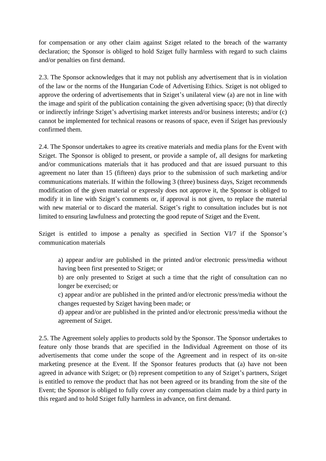for compensation or any other claim against Sziget related to the breach of the warranty declaration; the Sponsor is obliged to hold Sziget fully harmless with regard to such claims and/or penalties on first demand.

2.3. The Sponsor acknowledges that it may not publish any advertisement that is in violation of the law or the norms of the Hungarian Code of Advertising Ethics. Sziget is not obliged to approve the ordering of advertisements that in Sziget's unilateral view (a) are not in line with the image and spirit of the publication containing the given advertising space; (b) that directly or indirectly infringe Sziget's advertising market interests and/or business interests; and/or (c) cannot be implemented for technical reasons or reasons of space, even if Sziget has previously confirmed them.

2.4. The Sponsor undertakes to agree its creative materials and media plans for the Event with Sziget. The Sponsor is obliged to present, or provide a sample of, all designs for marketing and/or communications materials that it has produced and that are issued pursuant to this agreement no later than 15 (fifteen) days prior to the submission of such marketing and/or communications materials. If within the following 3 (three) business days, Sziget recommends modification of the given material or expressly does not approve it, the Sponsor is obliged to modify it in line with Sziget's comments or, if approval is not given, to replace the material with new material or to discard the material. Sziget's right to consultation includes but is not limited to ensuring lawfulness and protecting the good repute of Sziget and the Event.

Sziget is entitled to impose a penalty as specified in Section VI/7 if the Sponsor's communication materials

a) appear and/or are published in the printed and/or electronic press/media without having been first presented to Sziget; or

b) are only presented to Sziget at such a time that the right of consultation can no longer be exercised; or

c) appear and/or are published in the printed and/or electronic press/media without the changes requested by Sziget having been made; or

d) appear and/or are published in the printed and/or electronic press/media without the agreement of Sziget.

2.5. The Agreement solely applies to products sold by the Sponsor. The Sponsor undertakes to feature only those brands that are specified in the Individual Agreement on those of its advertisements that come under the scope of the Agreement and in respect of its on-site marketing presence at the Event. If the Sponsor features products that (a) have not been agreed in advance with Sziget; or (b) represent competition to any of Sziget's partners, Sziget is entitled to remove the product that has not been agreed or its branding from the site of the Event; the Sponsor is obliged to fully cover any compensation claim made by a third party in this regard and to hold Sziget fully harmless in advance, on first demand.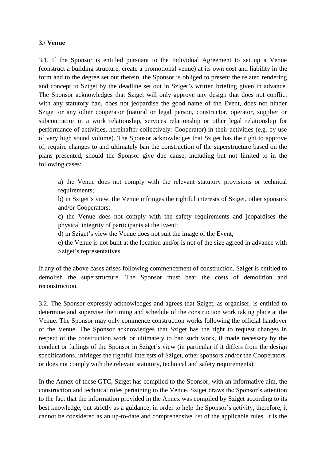#### **3./ Venue**

3.1. If the Sponsor is entitled pursuant to the Individual Agreement to set up a Venue (construct a building structure, create a promotional venue) at its own cost and liability in the form and to the degree set out therein, the Sponsor is obliged to present the related rendering and concept to Sziget by the deadline set out in Sziget's written briefing given in advance. The Sponsor acknowledges that Sziget will only approve any design that does not conflict with any statutory ban, does not jeopardise the good name of the Event, does not hinder Sziget or any other cooperator (natural or legal person, constructor, operator, supplier or subcontractor in a work relationship, services relationship or other legal relationship for performance of activities, hereinafter collectively: Cooperator) in their activities (e.g. by use of very high sound volume). The Sponsor acknowledges that Sziget has the right to approve of, require changes to and ultimately ban the construction of the superstructure based on the plans presented, should the Sponsor give due cause, including but not limited to in the following cases:

a) the Venue does not comply with the relevant statutory provisions or technical requirements;

b) in Sziget's view, the Venue infringes the rightful interests of Sziget, other sponsors and/or Cooperators;

c) the Venue does not comply with the safety requirements and jeopardises the physical integrity of participants at the Event;

d) in Sziget's view the Venue does not suit the image of the Event;

e) the Venue is not built at the location and/or is not of the size agreed in advance with Sziget's representatives.

If any of the above cases arises following commencement of construction, Sziget is entitled to demolish the superstructure. The Sponsor must bear the costs of demolition and reconstruction.

3.2. The Sponsor expressly acknowledges and agrees that Sziget, as organiser, is entitled to determine and supervise the timing and schedule of the construction work taking place at the Venue. The Sponsor may only commence construction works following the official handover of the Venue. The Sponsor acknowledges that Sziget has the right to request changes in respect of the construction work or ultimately to ban such work, if made necessary by the conduct or failings of the Sponsor in Sziget's view (in particular if it differs from the design specifications, infringes the rightful interests of Sziget, other sponsors and/or the Cooperators, or does not comply with the relevant statutory, technical and safety requirements).

In the Annex of these GTC, Sziget has compiled to the Sponsor, with an informative aim, the construction and technical rules pertaining to the Venue. Sziget draws the Sponsor's attention to the fact that the information provided in the Annex was compiled by Sziget according to its best knowledge, but strictly as a guidance, in order to help the Sponsor's activity, therefore, it cannot be considered as an up-to-date and comprehensive list of the applicable rules. It is the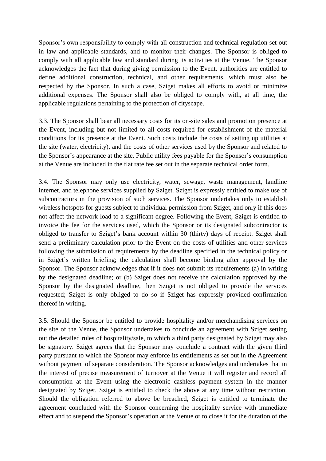Sponsor's own responsibility to comply with all construction and technical regulation set out in law and applicable standards, and to monitor their changes. The Sponsor is obliged to comply with all applicable law and standard during its activities at the Venue. The Sponsor acknowledges the fact that during giving permission to the Event, authorities are entitled to define additional construction, technical, and other requirements, which must also be respected by the Sponsor. In such a case, Sziget makes all efforts to avoid or minimize additional expenses. The Sponsor shall also be obliged to comply with, at all time, the applicable regulations pertaining to the protection of cityscape.

3.3. The Sponsor shall bear all necessary costs for its on-site sales and promotion presence at the Event, including but not limited to all costs required for establishment of the material conditions for its presence at the Event. Such costs include the costs of setting up utilities at the site (water, electricity), and the costs of other services used by the Sponsor and related to the Sponsor's appearance at the site. Public utility fees payable for the Sponsor's consumption at the Venue are included in the flat rate fee set out in the separate technical order form.

3.4. The Sponsor may only use electricity, water, sewage, waste management, landline internet, and telephone services supplied by Sziget. Sziget is expressly entitled to make use of subcontractors in the provision of such services. The Sponsor undertakes only to establish wireless hotspots for guests subject to individual permission from Sziget, and only if this does not affect the network load to a significant degree. Following the Event, Sziget is entitled to invoice the fee for the services used, which the Sponsor or its designated subcontractor is obliged to transfer to Sziget's bank account within 30 (thirty) days of receipt. Sziget shall send a preliminary calculation prior to the Event on the costs of utilities and other services following the submission of requirements by the deadline specified in the technical policy or in Sziget's written briefing; the calculation shall become binding after approval by the Sponsor. The Sponsor acknowledges that if it does not submit its requirements (a) in writing by the designated deadline; or (b) Sziget does not receive the calculation approved by the Sponsor by the designated deadline, then Sziget is not obliged to provide the services requested; Sziget is only obliged to do so if Sziget has expressly provided confirmation thereof in writing.

3.5. Should the Sponsor be entitled to provide hospitality and/or merchandising services on the site of the Venue, the Sponsor undertakes to conclude an agreement with Sziget setting out the detailed rules of hospitality/sale, to which a third party designated by Sziget may also be signatory. Sziget agrees that the Sponsor may conclude a contract with the given third party pursuant to which the Sponsor may enforce its entitlements as set out in the Agreement without payment of separate consideration. The Sponsor acknowledges and undertakes that in the interest of precise measurement of turnover at the Venue it will register and record all consumption at the Event using the electronic cashless payment system in the manner designated by Sziget. Sziget is entitled to check the above at any time without restriction. Should the obligation referred to above be breached, Sziget is entitled to terminate the agreement concluded with the Sponsor concerning the hospitality service with immediate effect and to suspend the Sponsor's operation at the Venue or to close it for the duration of the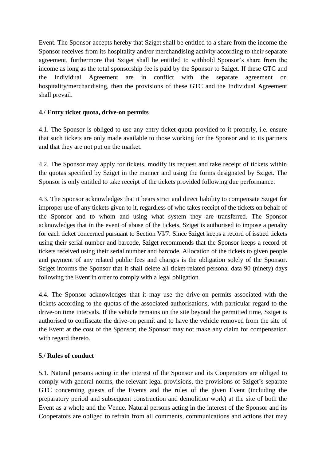Event. The Sponsor accepts hereby that Sziget shall be entitled to a share from the income the Sponsor receives from its hospitality and/or merchandising activity according to their separate agreement, furthermore that Sziget shall be entitled to withhold Sponsor's share from the income as long as the total sponsorship fee is paid by the Sponsor to Sziget. If these GTC and the Individual Agreement are in conflict with the separate agreement on hospitality/merchandising, then the provisions of these GTC and the Individual Agreement shall prevail.

# **4./ Entry ticket quota, drive-on permits**

4.1. The Sponsor is obliged to use any entry ticket quota provided to it properly, i.e. ensure that such tickets are only made available to those working for the Sponsor and to its partners and that they are not put on the market.

4.2. The Sponsor may apply for tickets, modify its request and take receipt of tickets within the quotas specified by Sziget in the manner and using the forms designated by Sziget. The Sponsor is only entitled to take receipt of the tickets provided following due performance.

4.3. The Sponsor acknowledges that it bears strict and direct liability to compensate Sziget for improper use of any tickets given to it, regardless of who takes receipt of the tickets on behalf of the Sponsor and to whom and using what system they are transferred. The Sponsor acknowledges that in the event of abuse of the tickets, Sziget is authorised to impose a penalty for each ticket concerned pursuant to Section VI/7. Since Sziget keeps a record of issued tickets using their serial number and barcode, Sziget recommends that the Sponsor keeps a record of tickets received using their serial number and barcode. Allocation of the tickets to given people and payment of any related public fees and charges is the obligation solely of the Sponsor. Sziget informs the Sponsor that it shall delete all ticket-related personal data 90 (ninety) days following the Event in order to comply with a legal obligation.

4.4. The Sponsor acknowledges that it may use the drive-on permits associated with the tickets according to the quotas of the associated authorisations, with particular regard to the drive-on time intervals. If the vehicle remains on the site beyond the permitted time, Sziget is authorised to confiscate the drive-on permit and to have the vehicle removed from the site of the Event at the cost of the Sponsor; the Sponsor may not make any claim for compensation with regard thereto.

# **5./ Rules of conduct**

5.1. Natural persons acting in the interest of the Sponsor and its Cooperators are obliged to comply with general norms, the relevant legal provisions, the provisions of Sziget's separate GTC concerning guests of the Events and the rules of the given Event (including the preparatory period and subsequent construction and demolition work) at the site of both the Event as a whole and the Venue. Natural persons acting in the interest of the Sponsor and its Cooperators are obliged to refrain from all comments, communications and actions that may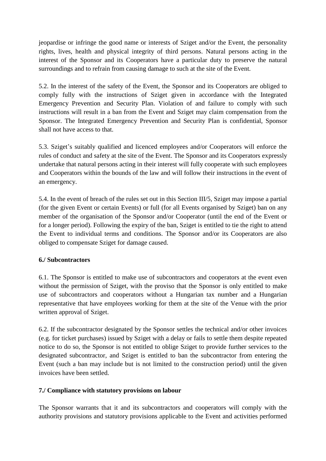jeopardise or infringe the good name or interests of Sziget and/or the Event, the personality rights, lives, health and physical integrity of third persons. Natural persons acting in the interest of the Sponsor and its Cooperators have a particular duty to preserve the natural surroundings and to refrain from causing damage to such at the site of the Event.

5.2. In the interest of the safety of the Event, the Sponsor and its Cooperators are obliged to comply fully with the instructions of Sziget given in accordance with the Integrated Emergency Prevention and Security Plan. Violation of and failure to comply with such instructions will result in a ban from the Event and Sziget may claim compensation from the Sponsor. The Integrated Emergency Prevention and Security Plan is confidential, Sponsor shall not have access to that.

5.3. Sziget's suitably qualified and licenced employees and/or Cooperators will enforce the rules of conduct and safety at the site of the Event. The Sponsor and its Cooperators expressly undertake that natural persons acting in their interest will fully cooperate with such employees and Cooperators within the bounds of the law and will follow their instructions in the event of an emergency.

5.4. In the event of breach of the rules set out in this Section III/5, Sziget may impose a partial (for the given Event or certain Events) or full (for all Events organised by Sziget) ban on any member of the organisation of the Sponsor and/or Cooperator (until the end of the Event or for a longer period). Following the expiry of the ban, Sziget is entitled to tie the right to attend the Event to individual terms and conditions. The Sponsor and/or its Cooperators are also obliged to compensate Sziget for damage caused.

# **6./ Subcontractors**

6.1. The Sponsor is entitled to make use of subcontractors and cooperators at the event even without the permission of Sziget, with the proviso that the Sponsor is only entitled to make use of subcontractors and cooperators without a Hungarian tax number and a Hungarian representative that have employees working for them at the site of the Venue with the prior written approval of Sziget.

6.2. If the subcontractor designated by the Sponsor settles the technical and/or other invoices (e.g. for ticket purchases) issued by Sziget with a delay or fails to settle them despite repeated notice to do so, the Sponsor is not entitled to oblige Sziget to provide further services to the designated subcontractor, and Sziget is entitled to ban the subcontractor from entering the Event (such a ban may include but is not limited to the construction period) until the given invoices have been settled.

#### **7./ Compliance with statutory provisions on labour**

The Sponsor warrants that it and its subcontractors and cooperators will comply with the authority provisions and statutory provisions applicable to the Event and activities performed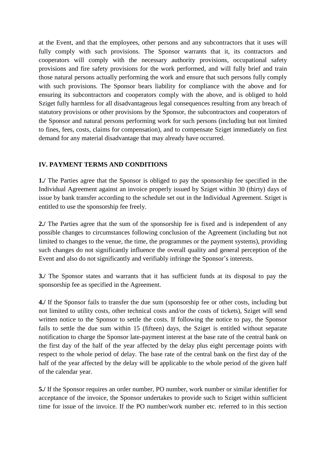at the Event, and that the employees, other persons and any subcontractors that it uses will fully comply with such provisions. The Sponsor warrants that it, its contractors and cooperators will comply with the necessary authority provisions, occupational safety provisions and fire safety provisions for the work performed, and will fully brief and train those natural persons actually performing the work and ensure that such persons fully comply with such provisions. The Sponsor bears liability for compliance with the above and for ensuring its subcontractors and cooperators comply with the above, and is obliged to hold Sziget fully harmless for all disadvantageous legal consequences resulting from any breach of statutory provisions or other provisions by the Sponsor, the subcontractors and cooperators of the Sponsor and natural persons performing work for such persons (including but not limited to fines, fees, costs, claims for compensation), and to compensate Sziget immediately on first demand for any material disadvantage that may already have occurred.

# **IV. PAYMENT TERMS AND CONDITIONS**

**1./** The Parties agree that the Sponsor is obliged to pay the sponsorship fee specified in the Individual Agreement against an invoice properly issued by Sziget within 30 (thirty) days of issue by bank transfer according to the schedule set out in the Individual Agreement. Sziget is entitled to use the sponsorship fee freely.

**2./** The Parties agree that the sum of the sponsorship fee is fixed and is independent of any possible changes to circumstances following conclusion of the Agreement (including but not limited to changes to the venue, the time, the programmes or the payment systems), providing such changes do not significantly influence the overall quality and general perception of the Event and also do not significantly and verifiably infringe the Sponsor's interests.

**3./** The Sponsor states and warrants that it has sufficient funds at its disposal to pay the sponsorship fee as specified in the Agreement.

**4./** If the Sponsor fails to transfer the due sum (sponsorship fee or other costs, including but not limited to utility costs, other technical costs and/or the costs of tickets), Sziget will send written notice to the Sponsor to settle the costs. If following the notice to pay, the Sponsor fails to settle the due sum within 15 (fifteen) days, the Sziget is entitled without separate notification to charge the Sponsor late-payment interest at the base rate of the central bank on the first day of the half of the year affected by the delay plus eight percentage points with respect to the whole period of delay. The base rate of the central bank on the first day of the half of the year affected by the delay will be applicable to the whole period of the given half of the calendar year.

**5./** If the Sponsor requires an order number, PO number, work number or similar identifier for acceptance of the invoice, the Sponsor undertakes to provide such to Sziget within sufficient time for issue of the invoice. If the PO number/work number etc. referred to in this section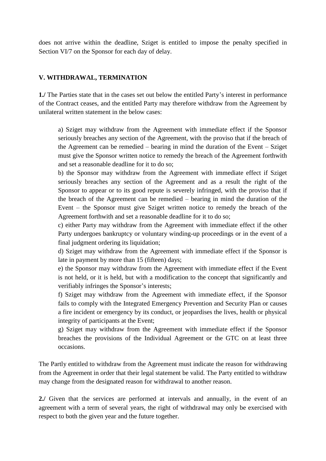does not arrive within the deadline, Sziget is entitled to impose the penalty specified in Section VI/7 on the Sponsor for each day of delay.

# **V. WITHDRAWAL, TERMINATION**

**1./** The Parties state that in the cases set out below the entitled Party's interest in performance of the Contract ceases, and the entitled Party may therefore withdraw from the Agreement by unilateral written statement in the below cases:

a) Sziget may withdraw from the Agreement with immediate effect if the Sponsor seriously breaches any section of the Agreement, with the proviso that if the breach of the Agreement can be remedied – bearing in mind the duration of the Event – Sziget must give the Sponsor written notice to remedy the breach of the Agreement forthwith and set a reasonable deadline for it to do so;

b) the Sponsor may withdraw from the Agreement with immediate effect if Sziget seriously breaches any section of the Agreement and as a result the right of the Sponsor to appear or to its good repute is severely infringed, with the proviso that if the breach of the Agreement can be remedied – bearing in mind the duration of the Event – the Sponsor must give Sziget written notice to remedy the breach of the Agreement forthwith and set a reasonable deadline for it to do so;

c) either Party may withdraw from the Agreement with immediate effect if the other Party undergoes bankruptcy or voluntary winding-up proceedings or in the event of a final judgment ordering its liquidation;

d) Sziget may withdraw from the Agreement with immediate effect if the Sponsor is late in payment by more than 15 (fifteen) days;

e) the Sponsor may withdraw from the Agreement with immediate effect if the Event is not held, or it is held, but with a modification to the concept that significantly and verifiably infringes the Sponsor's interests;

f) Sziget may withdraw from the Agreement with immediate effect, if the Sponsor fails to comply with the Integrated Emergency Prevention and Security Plan or causes a fire incident or emergency by its conduct, or jeopardises the lives, health or physical integrity of participants at the Event;

g) Sziget may withdraw from the Agreement with immediate effect if the Sponsor breaches the provisions of the Individual Agreement or the GTC on at least three occasions.

The Partly entitled to withdraw from the Agreement must indicate the reason for withdrawing from the Agreement in order that their legal statement be valid. The Party entitled to withdraw may change from the designated reason for withdrawal to another reason.

**2./** Given that the services are performed at intervals and annually, in the event of an agreement with a term of several years, the right of withdrawal may only be exercised with respect to both the given year and the future together.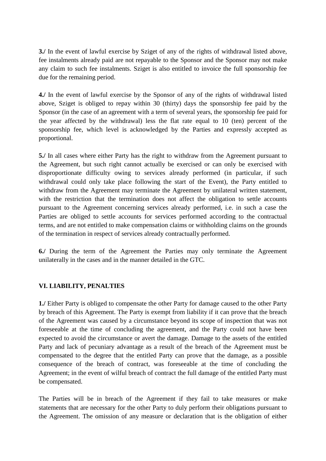**3./** In the event of lawful exercise by Sziget of any of the rights of withdrawal listed above, fee instalments already paid are not repayable to the Sponsor and the Sponsor may not make any claim to such fee instalments. Sziget is also entitled to invoice the full sponsorship fee due for the remaining period.

**4./** In the event of lawful exercise by the Sponsor of any of the rights of withdrawal listed above, Sziget is obliged to repay within 30 (thirty) days the sponsorship fee paid by the Sponsor (in the case of an agreement with a term of several years, the sponsorship fee paid for the year affected by the withdrawal) less the flat rate equal to 10 (ten) percent of the sponsorship fee, which level is acknowledged by the Parties and expressly accepted as proportional.

**5./** In all cases where either Party has the right to withdraw from the Agreement pursuant to the Agreement, but such right cannot actually be exercised or can only be exercised with disproportionate difficulty owing to services already performed (in particular, if such withdrawal could only take place following the start of the Event), the Party entitled to withdraw from the Agreement may terminate the Agreement by unilateral written statement, with the restriction that the termination does not affect the obligation to settle accounts pursuant to the Agreement concerning services already performed, i.e. in such a case the Parties are obliged to settle accounts for services performed according to the contractual terms, and are not entitled to make compensation claims or withholding claims on the grounds of the termination in respect of services already contractually performed.

**6./** During the term of the Agreement the Parties may only terminate the Agreement unilaterally in the cases and in the manner detailed in the GTC.

#### **VI. LIABILITY, PENALTIES**

**1./** Either Party is obliged to compensate the other Party for damage caused to the other Party by breach of this Agreement. The Party is exempt from liability if it can prove that the breach of the Agreement was caused by a circumstance beyond its scope of inspection that was not foreseeable at the time of concluding the agreement, and the Party could not have been expected to avoid the circumstance or avert the damage. Damage to the assets of the entitled Party and lack of pecuniary advantage as a result of the breach of the Agreement must be compensated to the degree that the entitled Party can prove that the damage, as a possible consequence of the breach of contract, was foreseeable at the time of concluding the Agreement; in the event of wilful breach of contract the full damage of the entitled Party must be compensated.

The Parties will be in breach of the Agreement if they fail to take measures or make statements that are necessary for the other Party to duly perform their obligations pursuant to the Agreement. The omission of any measure or declaration that is the obligation of either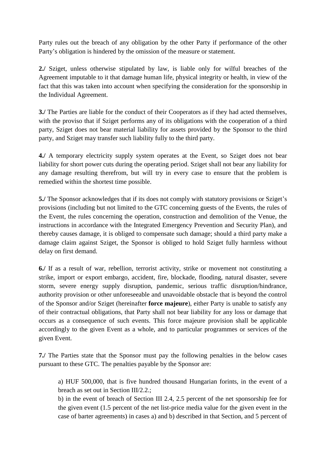Party rules out the breach of any obligation by the other Party if performance of the other Party's obligation is hindered by the omission of the measure or statement.

**2./** Sziget, unless otherwise stipulated by law, is liable only for wilful breaches of the Agreement imputable to it that damage human life, physical integrity or health, in view of the fact that this was taken into account when specifying the consideration for the sponsorship in the Individual Agreement.

**3./** The Parties are liable for the conduct of their Cooperators as if they had acted themselves, with the proviso that if Sziget performs any of its obligations with the cooperation of a third party, Sziget does not bear material liability for assets provided by the Sponsor to the third party, and Sziget may transfer such liability fully to the third party.

**4./** A temporary electricity supply system operates at the Event, so Sziget does not bear liability for short power cuts during the operating period. Sziget shall not bear any liability for any damage resulting therefrom, but will try in every case to ensure that the problem is remedied within the shortest time possible.

**5./** The Sponsor acknowledges that if its does not comply with statutory provisions or Sziget's provisions (including but not limited to the GTC concerning guests of the Events, the rules of the Event, the rules concerning the operation, construction and demolition of the Venue, the instructions in accordance with the Integrated Emergency Prevention and Security Plan), and thereby causes damage, it is obliged to compensate such damage; should a third party make a damage claim against Sziget, the Sponsor is obliged to hold Sziget fully harmless without delay on first demand.

**6./** If as a result of war, rebellion, terrorist activity, strike or movement not constituting a strike, import or export embargo, accident, fire, blockade, flooding, natural disaster, severe storm, severe energy supply disruption, pandemic, serious traffic disruption/hindrance, authority provision or other unforeseeable and unavoidable obstacle that is beyond the control of the Sponsor and/or Sziget (hereinafter **force majeure**), either Party is unable to satisfy any of their contractual obligations, that Party shall not bear liability for any loss or damage that occurs as a consequence of such events. This force majeure provision shall be applicable accordingly to the given Event as a whole, and to particular programmes or services of the given Event.

**7./** The Parties state that the Sponsor must pay the following penalties in the below cases pursuant to these GTC. The penalties payable by the Sponsor are:

a) HUF 500,000, that is five hundred thousand Hungarian forints, in the event of a breach as set out in Section III/2.2.;

b) in the event of breach of Section III 2.4, 2.5 percent of the net sponsorship fee for the given event (1.5 percent of the net list-price media value for the given event in the case of barter agreements) in cases a) and b) described in that Section, and 5 percent of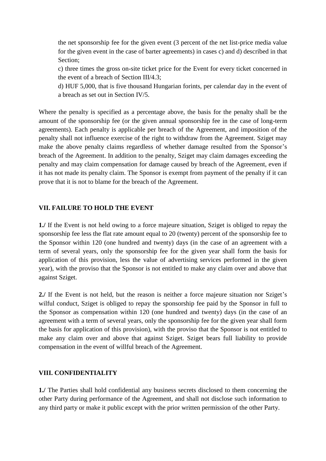the net sponsorship fee for the given event (3 percent of the net list-price media value for the given event in the case of barter agreements) in cases c) and d) described in that Section;

c) three times the gross on-site ticket price for the Event for every ticket concerned in the event of a breach of Section III/4.3;

d) HUF 5,000, that is five thousand Hungarian forints, per calendar day in the event of a breach as set out in Section IV/5.

Where the penalty is specified as a percentage above, the basis for the penalty shall be the amount of the sponsorship fee (or the given annual sponsorship fee in the case of long-term agreements). Each penalty is applicable per breach of the Agreement, and imposition of the penalty shall not influence exercise of the right to withdraw from the Agreement. Sziget may make the above penalty claims regardless of whether damage resulted from the Sponsor's breach of the Agreement. In addition to the penalty, Sziget may claim damages exceeding the penalty and may claim compensation for damage caused by breach of the Agreement, even if it has not made its penalty claim. The Sponsor is exempt from payment of the penalty if it can prove that it is not to blame for the breach of the Agreement.

## **VII. FAILURE TO HOLD THE EVENT**

**1./** If the Event is not held owing to a force majeure situation, Sziget is obliged to repay the sponsorship fee less the flat rate amount equal to 20 (twenty) percent of the sponsorship fee to the Sponsor within 120 (one hundred and twenty) days (in the case of an agreement with a term of several years, only the sponsorship fee for the given year shall form the basis for application of this provision, less the value of advertising services performed in the given year), with the proviso that the Sponsor is not entitled to make any claim over and above that against Sziget.

**2./** If the Event is not held, but the reason is neither a force majeure situation nor Sziget's wilful conduct, Sziget is obliged to repay the sponsorship fee paid by the Sponsor in full to the Sponsor as compensation within 120 (one hundred and twenty) days (in the case of an agreement with a term of several years, only the sponsorship fee for the given year shall form the basis for application of this provision), with the proviso that the Sponsor is not entitled to make any claim over and above that against Sziget. Sziget bears full liability to provide compensation in the event of willful breach of the Agreement.

#### **VIII. CONFIDENTIALITY**

**1./** The Parties shall hold confidential any business secrets disclosed to them concerning the other Party during performance of the Agreement, and shall not disclose such information to any third party or make it public except with the prior written permission of the other Party.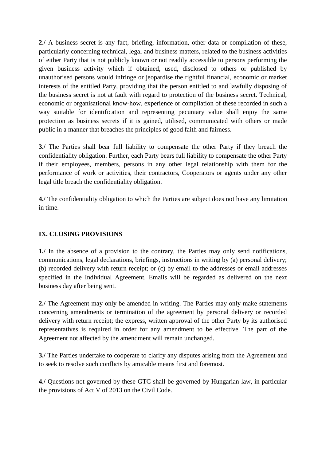**2./** A business secret is any fact, briefing, information, other data or compilation of these, particularly concerning technical, legal and business matters, related to the business activities of either Party that is not publicly known or not readily accessible to persons performing the given business activity which if obtained, used, disclosed to others or published by unauthorised persons would infringe or jeopardise the rightful financial, economic or market interests of the entitled Party, providing that the person entitled to and lawfully disposing of the business secret is not at fault with regard to protection of the business secret. Technical, economic or organisational know-how, experience or compilation of these recorded in such a way suitable for identification and representing pecuniary value shall enjoy the same protection as business secrets if it is gained, utilised, communicated with others or made public in a manner that breaches the principles of good faith and fairness.

**3./** The Parties shall bear full liability to compensate the other Party if they breach the confidentiality obligation. Further, each Party bears full liability to compensate the other Party if their employees, members, persons in any other legal relationship with them for the performance of work or activities, their contractors, Cooperators or agents under any other legal title breach the confidentiality obligation.

**4./** The confidentiality obligation to which the Parties are subject does not have any limitation in time.

## **IX. CLOSING PROVISIONS**

**1./** In the absence of a provision to the contrary, the Parties may only send notifications, communications, legal declarations, briefings, instructions in writing by (a) personal delivery; (b) recorded delivery with return receipt; or (c) by email to the addresses or email addresses specified in the Individual Agreement. Emails will be regarded as delivered on the next business day after being sent.

**2./** The Agreement may only be amended in writing. The Parties may only make statements concerning amendments or termination of the agreement by personal delivery or recorded delivery with return receipt; the express, written approval of the other Party by its authorised representatives is required in order for any amendment to be effective. The part of the Agreement not affected by the amendment will remain unchanged.

**3./** The Parties undertake to cooperate to clarify any disputes arising from the Agreement and to seek to resolve such conflicts by amicable means first and foremost.

**4./** Questions not governed by these GTC shall be governed by Hungarian law, in particular the provisions of Act V of 2013 on the Civil Code.